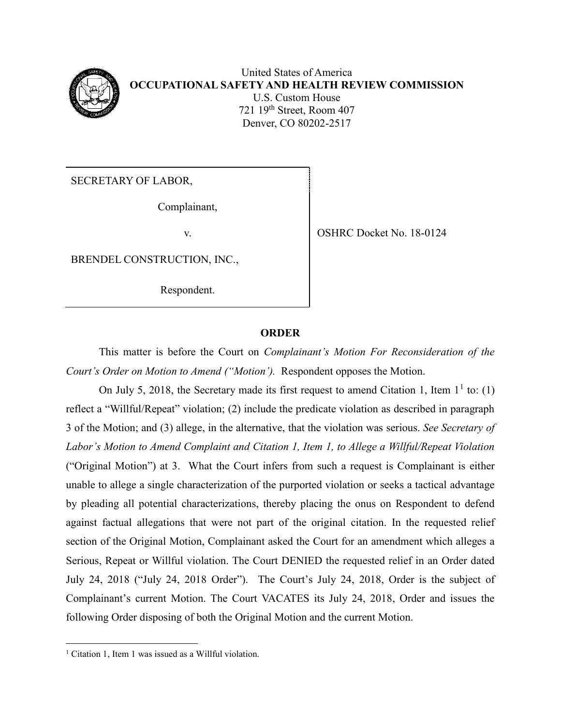

United States of America **OCCUPATIONAL SAFETY AND HEALTH REVIEW COMMISSION** U.S. Custom House 721 19th Street, Room 407 Denver, CO 80202-2517

SECRETARY OF LABOR,

Complainant,

BRENDEL CONSTRUCTION, INC.,

Respondent.

v. SHRC Docket No. 18-0124

## **ORDER**

This matter is before the Court on *Complainant's Motion For Reconsideration of the Court's Order on Motion to Amend ("Motion').* Respondent opposes the Motion.

On July 5, 2018, the Secretary made its first request to amend Citation 1, Item  $1^1$  to: (1) reflect a "Willful/Repeat" violation; (2) include the predicate violation as described in paragraph 3 of the Motion; and (3) allege, in the alternative, that the violation was serious. *See Secretary of Labor's Motion to Amend Complaint and Citation 1, Item 1, to Allege a Willful/Repeat Violation*  ("Original Motion") at 3. What the Court infers from such a request is Complainant is either unable to allege a single characterization of the purported violation or seeks a tactical advantage by pleading all potential characterizations, thereby placing the onus on Respondent to defend against factual allegations that were not part of the original citation. In the requested relief section of the Original Motion, Complainant asked the Court for an amendment which alleges a Serious, Repeat or Willful violation. The Court DENIED the requested relief in an Order dated July 24, 2018 ("July 24, 2018 Order"). The Court's July 24, 2018, Order is the subject of Complainant's current Motion. The Court VACATES its July 24, 2018, Order and issues the following Order disposing of both the Original Motion and the current Motion.

 $\overline{a}$ <sup>1</sup> Citation 1, Item 1 was issued as a Willful violation.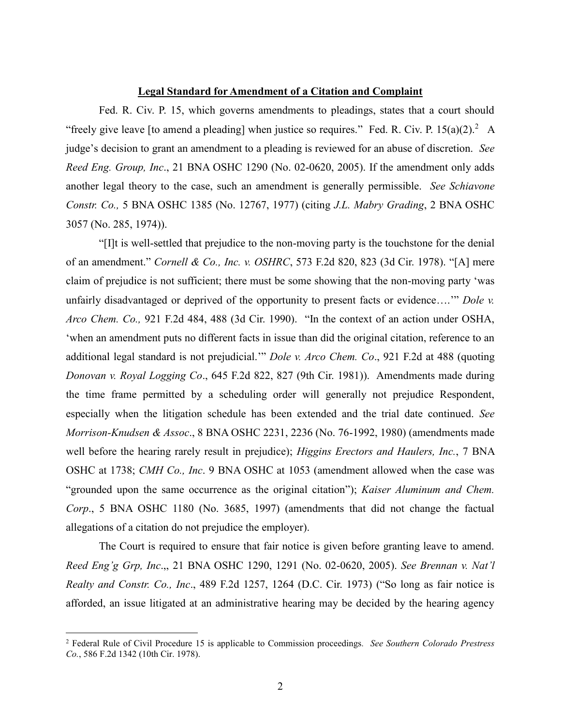## **Legal Standard for Amendment of a Citation and Complaint**

Fed. R. Civ. P. 15, which governs amendments to pleadings, states that a court should "freely give leave [to amend a pleading] when justice so requires." Fed. R. Civ. P.  $15(a)(2)$ . A judge's decision to grant an amendment to a pleading is reviewed for an abuse of discretion. *See Reed Eng. Group, Inc*., 21 BNA OSHC 1290 (No. 02-0620, 2005). If the amendment only adds another legal theory to the case, such an amendment is generally permissible. *See Schiavone Constr. Co.,* 5 BNA OSHC 1385 (No. 12767, 1977) (citing *J.L. Mabry Grading*, 2 BNA OSHC 3057 (No. 285, 1974)).

"[I]t is well-settled that prejudice to the non-moving party is the touchstone for the denial of an amendment." *Cornell & Co., Inc. v. OSHRC*, 573 F.2d 820, 823 (3d Cir. 1978). "[A] mere claim of prejudice is not sufficient; there must be some showing that the non-moving party 'was unfairly disadvantaged or deprived of the opportunity to present facts or evidence….'" *Dole v. Arco Chem. Co.,* 921 F.2d 484, 488 (3d Cir. 1990). "In the context of an action under OSHA, 'when an amendment puts no different facts in issue than did the original citation, reference to an additional legal standard is not prejudicial.'" *Dole v. Arco Chem. Co*., 921 F.2d at 488 (quoting *Donovan v. Royal Logging Co*., 645 F.2d 822, 827 (9th Cir. 1981)). Amendments made during the time frame permitted by a scheduling order will generally not prejudice Respondent, especially when the litigation schedule has been extended and the trial date continued. *See Morrison-Knudsen & Assoc*., 8 BNA OSHC 2231, 2236 (No. 76-1992, 1980) (amendments made well before the hearing rarely result in prejudice); *Higgins Erectors and Haulers, Inc.*, 7 BNA OSHC at 1738; *CMH Co., Inc*. 9 BNA OSHC at 1053 (amendment allowed when the case was "grounded upon the same occurrence as the original citation"); *Kaiser Aluminum and Chem. Corp*., 5 BNA OSHC 1180 (No. 3685, 1997) (amendments that did not change the factual allegations of a citation do not prejudice the employer).

The Court is required to ensure that fair notice is given before granting leave to amend. *Reed Eng'g Grp, Inc*.,, 21 BNA OSHC 1290, 1291 (No. 02-0620, 2005). *See Brennan v. Nat'l Realty and Constr. Co., Inc*., 489 F.2d 1257, 1264 (D.C. Cir. 1973) ("So long as fair notice is afforded, an issue litigated at an administrative hearing may be decided by the hearing agency

 $\overline{a}$ 

<sup>2</sup> Federal Rule of Civil Procedure 15 is applicable to Commission proceedings*. See Southern Colorado Prestress Co.*, 586 F.2d 1342 (10th Cir. 1978).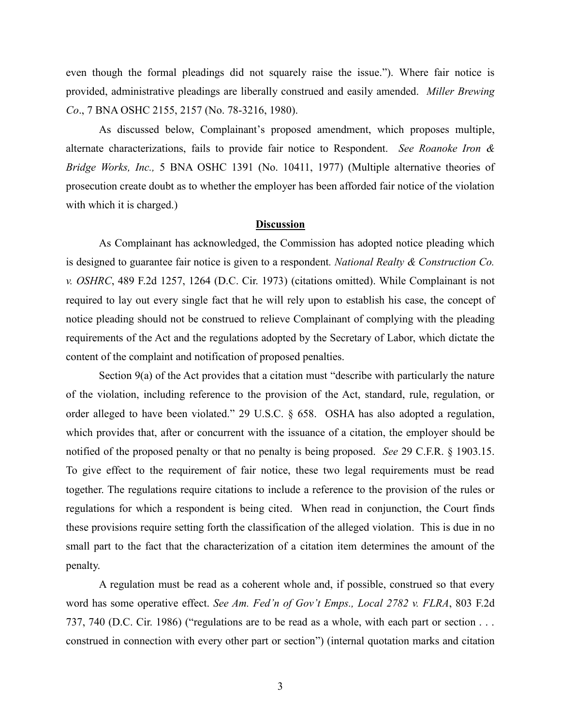even though the formal pleadings did not squarely raise the issue."). Where fair notice is provided, administrative pleadings are liberally construed and easily amended. *Miller Brewing Co*., 7 BNA OSHC 2155, 2157 (No. 78-3216, 1980).

As discussed below, Complainant's proposed amendment, which proposes multiple, alternate characterizations, fails to provide fair notice to Respondent. *See Roanoke Iron & Bridge Works, Inc.,* 5 BNA OSHC 1391 (No. 10411, 1977) (Multiple alternative theories of prosecution create doubt as to whether the employer has been afforded fair notice of the violation with which it is charged.)

## **Discussion**

As Complainant has acknowledged, the Commission has adopted notice pleading which is designed to guarantee fair notice is given to a respondent*. National Realty & Construction Co. v. OSHRC*, 489 F.2d 1257, 1264 (D.C. Cir. 1973) (citations omitted). While Complainant is not required to lay out every single fact that he will rely upon to establish his case, the concept of notice pleading should not be construed to relieve Complainant of complying with the pleading requirements of the Act and the regulations adopted by the Secretary of Labor, which dictate the content of the complaint and notification of proposed penalties.

Section 9(a) of the Act provides that a citation must "describe with particularly the nature of the violation, including reference to the provision of the Act, standard, rule, regulation, or order alleged to have been violated." 29 U.S.C. § 658. OSHA has also adopted a regulation, which provides that, after or concurrent with the issuance of a citation, the employer should be notified of the proposed penalty or that no penalty is being proposed. *See* 29 C.F.R. § 1903.15. To give effect to the requirement of fair notice, these two legal requirements must be read together. The regulations require citations to include a reference to the provision of the rules or regulations for which a respondent is being cited. When read in conjunction, the Court finds these provisions require setting forth the classification of the alleged violation. This is due in no small part to the fact that the characterization of a citation item determines the amount of the penalty.

A regulation must be read as a coherent whole and, if possible, construed so that every word has some operative effect. *See Am. Fed'n of Gov't Emps., Local 2782 v. FLRA*, 803 F.2d 737, 740 (D.C. Cir. 1986) ("regulations are to be read as a whole, with each part or section . . . construed in connection with every other part or section") (internal quotation marks and citation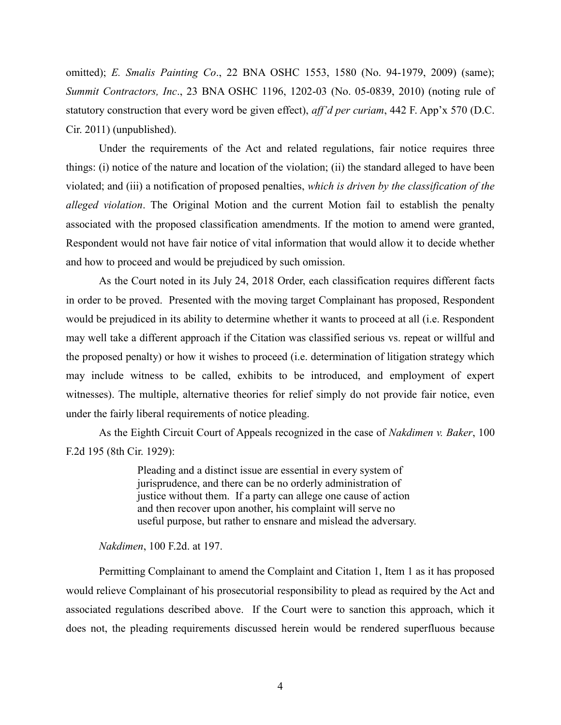omitted); *E. Smalis Painting Co*., 22 BNA OSHC 1553, 1580 (No. 94-1979, 2009) (same); *Summit Contractors, Inc*., 23 BNA OSHC 1196, 1202-03 (No. 05-0839, 2010) (noting rule of statutory construction that every word be given effect), *aff'd per curiam*, 442 F. App'x 570 (D.C. Cir. 2011) (unpublished).

Under the requirements of the Act and related regulations, fair notice requires three things: (i) notice of the nature and location of the violation; (ii) the standard alleged to have been violated; and (iii) a notification of proposed penalties, *which is driven by the classification of the alleged violation*. The Original Motion and the current Motion fail to establish the penalty associated with the proposed classification amendments. If the motion to amend were granted, Respondent would not have fair notice of vital information that would allow it to decide whether and how to proceed and would be prejudiced by such omission.

As the Court noted in its July 24, 2018 Order, each classification requires different facts in order to be proved. Presented with the moving target Complainant has proposed, Respondent would be prejudiced in its ability to determine whether it wants to proceed at all (i.e. Respondent may well take a different approach if the Citation was classified serious vs. repeat or willful and the proposed penalty) or how it wishes to proceed (i.e. determination of litigation strategy which may include witness to be called, exhibits to be introduced, and employment of expert witnesses). The multiple, alternative theories for relief simply do not provide fair notice, even under the fairly liberal requirements of notice pleading.

As the Eighth Circuit Court of Appeals recognized in the case of *Nakdimen v. Baker*, 100 F.2d 195 (8th Cir. 1929):

> Pleading and a distinct issue are essential in every system of jurisprudence, and there can be no orderly administration of justice without them. If a party can allege one cause of action and then recover upon another, his complaint will serve no useful purpose, but rather to ensnare and mislead the adversary.

*Nakdimen*, 100 F.2d. at 197.

Permitting Complainant to amend the Complaint and Citation 1, Item 1 as it has proposed would relieve Complainant of his prosecutorial responsibility to plead as required by the Act and associated regulations described above. If the Court were to sanction this approach, which it does not, the pleading requirements discussed herein would be rendered superfluous because